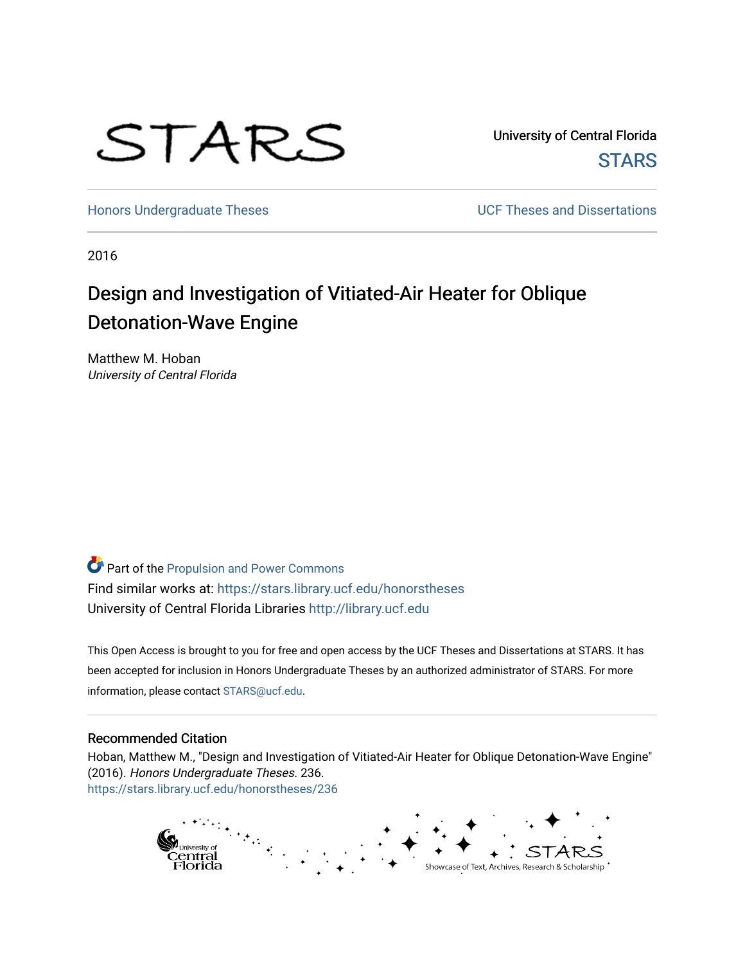

University of Central Florida **STARS** 

[Honors Undergraduate Theses](https://stars.library.ucf.edu/honorstheses) **Exercise 2018** UCF Theses and Dissertations

2016

# Design and Investigation of Vitiated-Air Heater for Oblique Detonation-Wave Engine

Matthew M. Hoban University of Central Florida

Part of the [Propulsion and Power Commons](https://network.bepress.com/hgg/discipline/225?utm_source=stars.library.ucf.edu%2Fhonorstheses%2F236&utm_medium=PDF&utm_campaign=PDFCoverPages) Find similar works at: <https://stars.library.ucf.edu/honorstheses> University of Central Florida Libraries [http://library.ucf.edu](http://library.ucf.edu/) 

This Open Access is brought to you for free and open access by the UCF Theses and Dissertations at STARS. It has been accepted for inclusion in Honors Undergraduate Theses by an authorized administrator of STARS. For more information, please contact [STARS@ucf.edu.](mailto:STARS@ucf.edu)

#### Recommended Citation

Hoban, Matthew M., "Design and Investigation of Vitiated-Air Heater for Oblique Detonation-Wave Engine" (2016). Honors Undergraduate Theses. 236. [https://stars.library.ucf.edu/honorstheses/236](https://stars.library.ucf.edu/honorstheses/236?utm_source=stars.library.ucf.edu%2Fhonorstheses%2F236&utm_medium=PDF&utm_campaign=PDFCoverPages) 

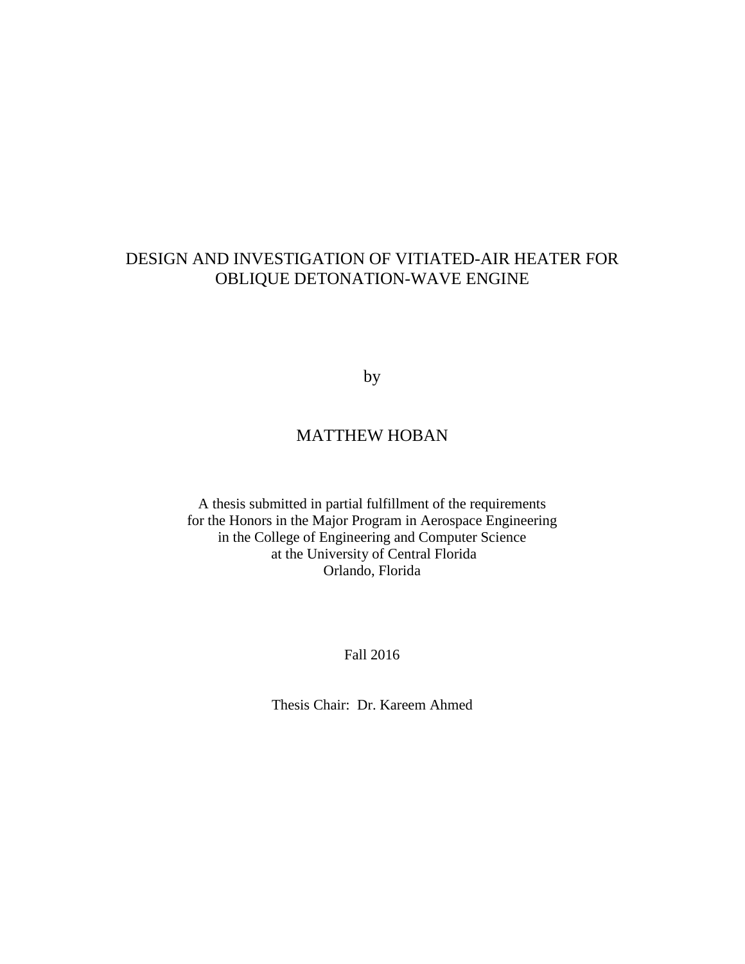## DESIGN AND INVESTIGATION OF VITIATED-AIR HEATER FOR OBLIQUE DETONATION-WAVE ENGINE

by

## MATTHEW HOBAN

A thesis submitted in partial fulfillment of the requirements for the Honors in the Major Program in Aerospace Engineering in the College of Engineering and Computer Science at the University of Central Florida Orlando, Florida

### Fall 2016

Thesis Chair: Dr. Kareem Ahmed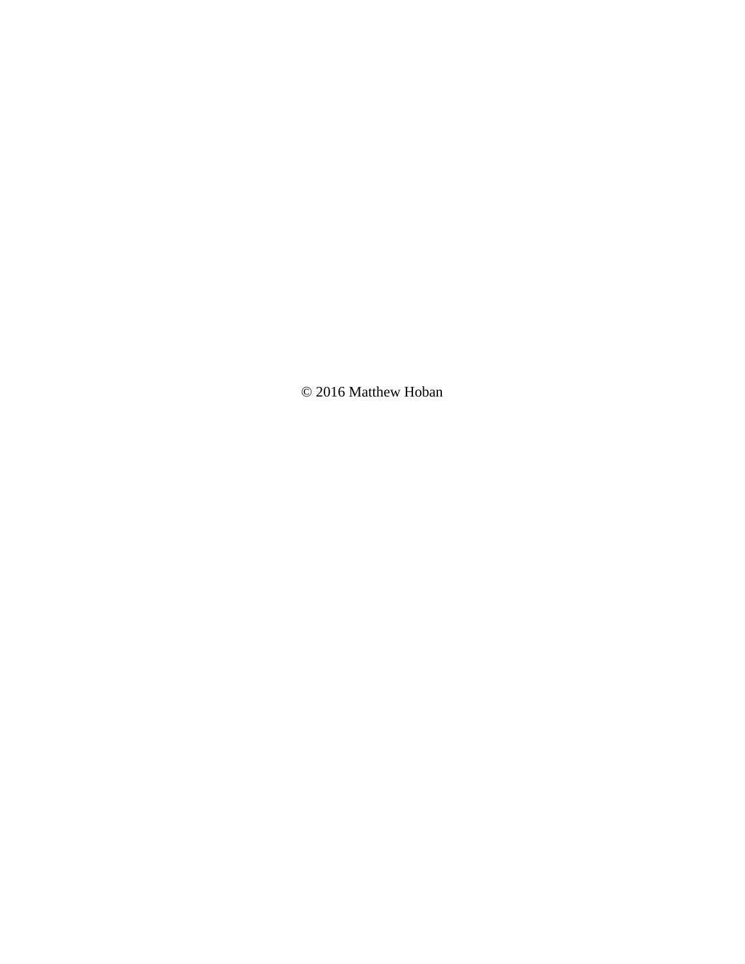© 2016 Matthew Hoban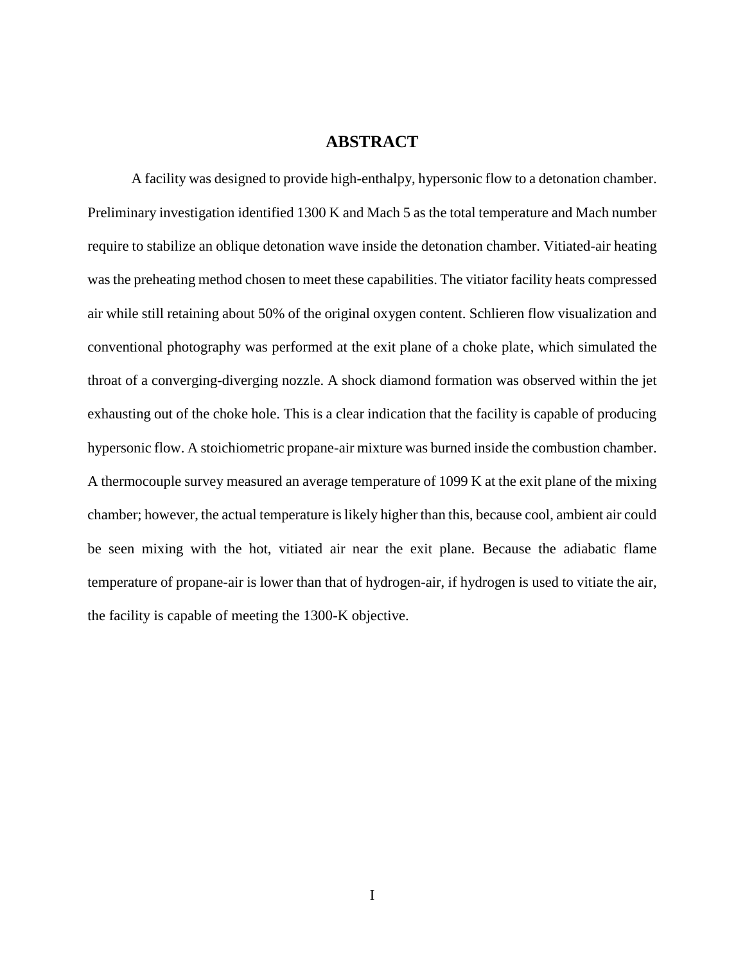## **ABSTRACT**

A facility was designed to provide high-enthalpy, hypersonic flow to a detonation chamber. Preliminary investigation identified 1300 K and Mach 5 as the total temperature and Mach number require to stabilize an oblique detonation wave inside the detonation chamber. Vitiated-air heating was the preheating method chosen to meet these capabilities. The vitiator facility heats compressed air while still retaining about 50% of the original oxygen content. Schlieren flow visualization and conventional photography was performed at the exit plane of a choke plate, which simulated the throat of a converging-diverging nozzle. A shock diamond formation was observed within the jet exhausting out of the choke hole. This is a clear indication that the facility is capable of producing hypersonic flow. A stoichiometric propane-air mixture was burned inside the combustion chamber. A thermocouple survey measured an average temperature of 1099 K at the exit plane of the mixing chamber; however, the actual temperature is likely higher than this, because cool, ambient air could be seen mixing with the hot, vitiated air near the exit plane. Because the adiabatic flame temperature of propane-air is lower than that of hydrogen-air, if hydrogen is used to vitiate the air, the facility is capable of meeting the 1300-K objective.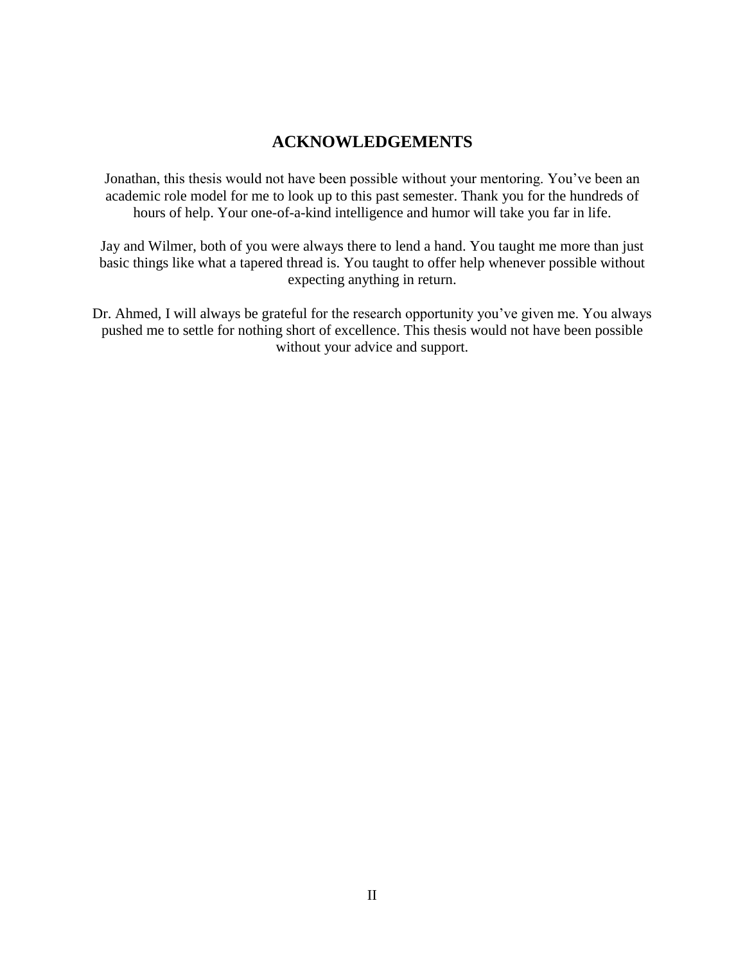## **ACKNOWLEDGEMENTS**

Jonathan, this thesis would not have been possible without your mentoring. You've been an academic role model for me to look up to this past semester. Thank you for the hundreds of hours of help. Your one-of-a-kind intelligence and humor will take you far in life.

Jay and Wilmer, both of you were always there to lend a hand. You taught me more than just basic things like what a tapered thread is. You taught to offer help whenever possible without expecting anything in return.

Dr. Ahmed, I will always be grateful for the research opportunity you've given me. You always pushed me to settle for nothing short of excellence. This thesis would not have been possible without your advice and support.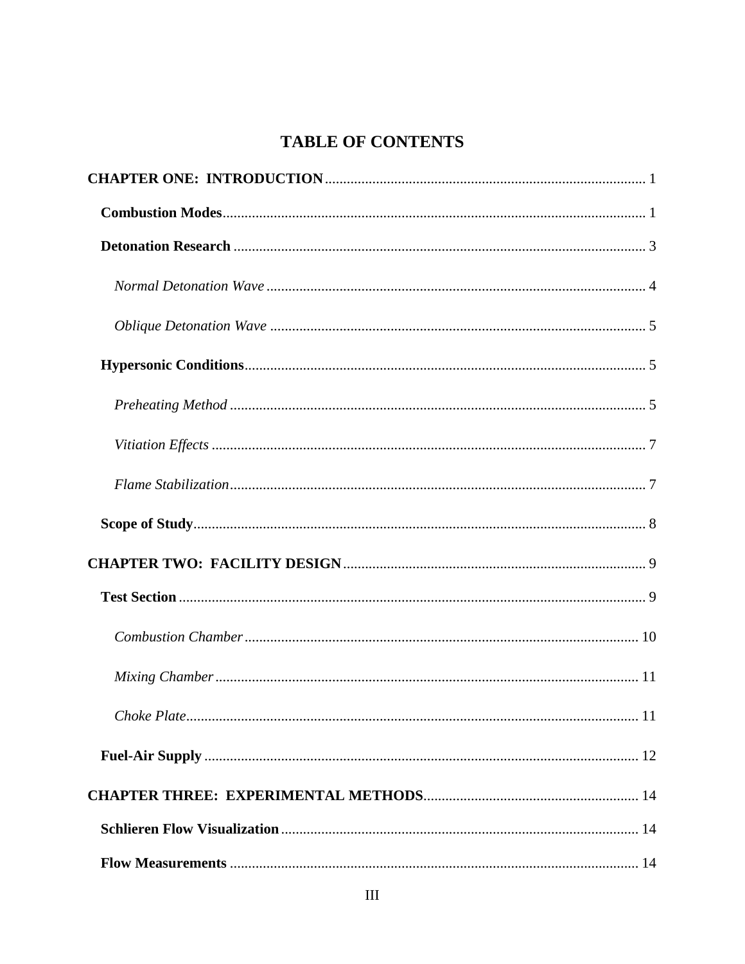## **TABLE OF CONTENTS**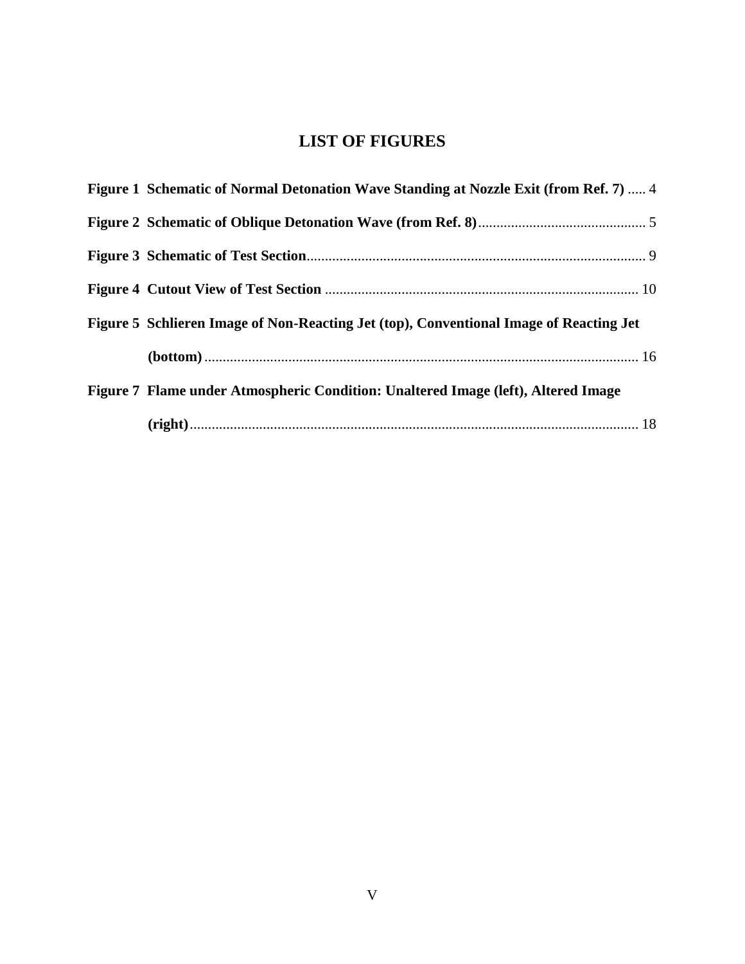## **LIST OF FIGURES**

<span id="page-7-0"></span>

| Figure 1 Schematic of Normal Detonation Wave Standing at Nozzle Exit (from Ref. 7)  4  |  |
|----------------------------------------------------------------------------------------|--|
|                                                                                        |  |
|                                                                                        |  |
|                                                                                        |  |
| Figure 5 Schlieren Image of Non-Reacting Jet (top), Conventional Image of Reacting Jet |  |
|                                                                                        |  |
| Figure 7 Flame under Atmospheric Condition: Unaltered Image (left), Altered Image      |  |
|                                                                                        |  |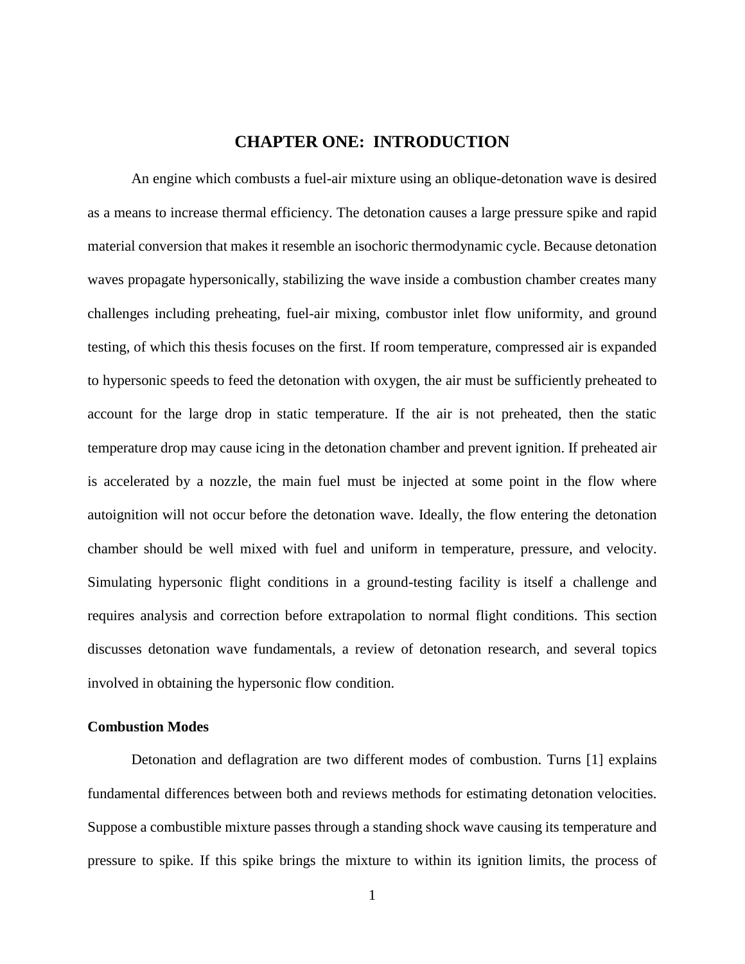## **CHAPTER ONE: INTRODUCTION**

An engine which combusts a fuel-air mixture using an oblique-detonation wave is desired as a means to increase thermal efficiency. The detonation causes a large pressure spike and rapid material conversion that makes it resemble an isochoric thermodynamic cycle. Because detonation waves propagate hypersonically, stabilizing the wave inside a combustion chamber creates many challenges including preheating, fuel-air mixing, combustor inlet flow uniformity, and ground testing, of which this thesis focuses on the first. If room temperature, compressed air is expanded to hypersonic speeds to feed the detonation with oxygen, the air must be sufficiently preheated to account for the large drop in static temperature. If the air is not preheated, then the static temperature drop may cause icing in the detonation chamber and prevent ignition. If preheated air is accelerated by a nozzle, the main fuel must be injected at some point in the flow where autoignition will not occur before the detonation wave. Ideally, the flow entering the detonation chamber should be well mixed with fuel and uniform in temperature, pressure, and velocity. Simulating hypersonic flight conditions in a ground-testing facility is itself a challenge and requires analysis and correction before extrapolation to normal flight conditions. This section discusses detonation wave fundamentals, a review of detonation research, and several topics involved in obtaining the hypersonic flow condition.

#### <span id="page-8-0"></span>**Combustion Modes**

Detonation and deflagration are two different modes of combustion. Turns [1] explains fundamental differences between both and reviews methods for estimating detonation velocities. Suppose a combustible mixture passes through a standing shock wave causing its temperature and pressure to spike. If this spike brings the mixture to within its ignition limits, the process of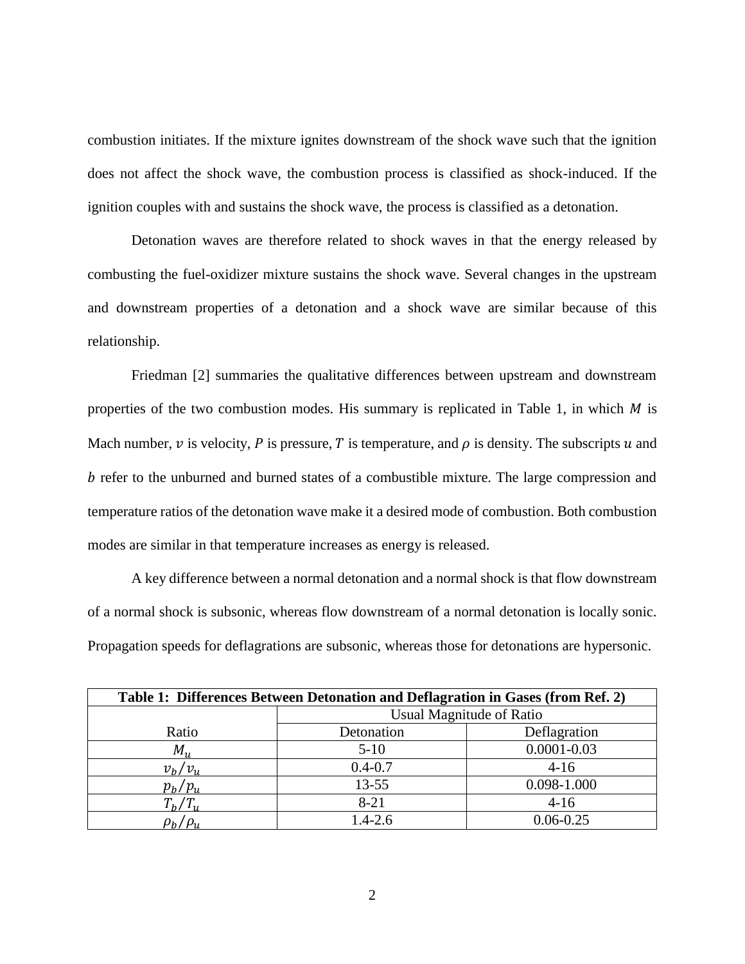combustion initiates. If the mixture ignites downstream of the shock wave such that the ignition does not affect the shock wave, the combustion process is classified as shock-induced. If the ignition couples with and sustains the shock wave, the process is classified as a detonation.

Detonation waves are therefore related to shock waves in that the energy released by combusting the fuel-oxidizer mixture sustains the shock wave. Several changes in the upstream and downstream properties of a detonation and a shock wave are similar because of this relationship.

Friedman [2] summaries the qualitative differences between upstream and downstream properties of the two combustion modes. His summary is replicated in Table 1, in which  $M$  is Mach number,  $\nu$  is velocity, P is pressure, T is temperature, and  $\rho$  is density. The subscripts  $u$  and b refer to the unburned and burned states of a combustible mixture. The large compression and temperature ratios of the detonation wave make it a desired mode of combustion. Both combustion modes are similar in that temperature increases as energy is released.

A key difference between a normal detonation and a normal shock is that flow downstream of a normal shock is subsonic, whereas flow downstream of a normal detonation is locally sonic. Propagation speeds for deflagrations are subsonic, whereas those for detonations are hypersonic.

| Table 1: Differences Between Detonation and Deflagration in Gases (from Ref. 2) |                                 |                 |  |  |
|---------------------------------------------------------------------------------|---------------------------------|-----------------|--|--|
|                                                                                 | <b>Usual Magnitude of Ratio</b> |                 |  |  |
| Ratio                                                                           | Detonation                      | Deflagration    |  |  |
| $M_{\rm u}$                                                                     | $5-10$                          | $0.0001 - 0.03$ |  |  |
| $v_h/v_u$                                                                       | $0.4 - 0.7$                     | $4 - 16$        |  |  |
| $p_h/p_u$                                                                       | $13 - 55$                       | 0.098-1.000     |  |  |
| $T_b/T_u$                                                                       | $8 - 21$                        | $4-16$          |  |  |
|                                                                                 | $1.4 - 2.6$                     | $0.06 - 0.25$   |  |  |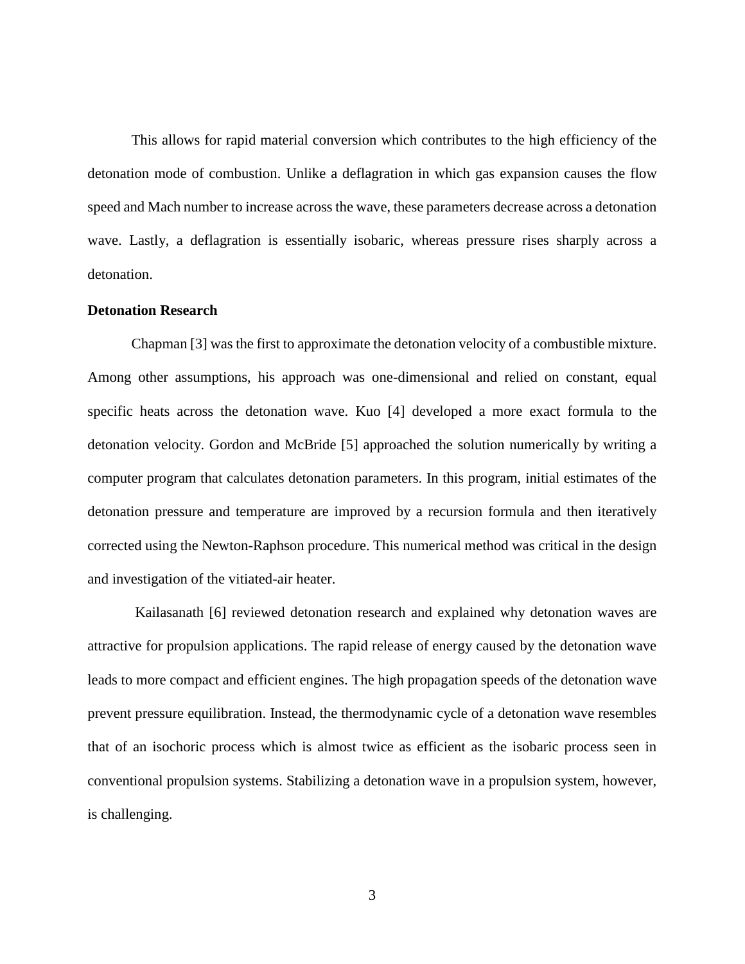This allows for rapid material conversion which contributes to the high efficiency of the detonation mode of combustion. Unlike a deflagration in which gas expansion causes the flow speed and Mach number to increase across the wave, these parameters decrease across a detonation wave. Lastly, a deflagration is essentially isobaric, whereas pressure rises sharply across a detonation.

#### <span id="page-10-0"></span>**Detonation Research**

Chapman [3] was the first to approximate the detonation velocity of a combustible mixture. Among other assumptions, his approach was one-dimensional and relied on constant, equal specific heats across the detonation wave. Kuo [4] developed a more exact formula to the detonation velocity. Gordon and McBride [5] approached the solution numerically by writing a computer program that calculates detonation parameters. In this program, initial estimates of the detonation pressure and temperature are improved by a recursion formula and then iteratively corrected using the Newton-Raphson procedure. This numerical method was critical in the design and investigation of the vitiated-air heater.

Kailasanath [6] reviewed detonation research and explained why detonation waves are attractive for propulsion applications. The rapid release of energy caused by the detonation wave leads to more compact and efficient engines. The high propagation speeds of the detonation wave prevent pressure equilibration. Instead, the thermodynamic cycle of a detonation wave resembles that of an isochoric process which is almost twice as efficient as the isobaric process seen in conventional propulsion systems. Stabilizing a detonation wave in a propulsion system, however, is challenging.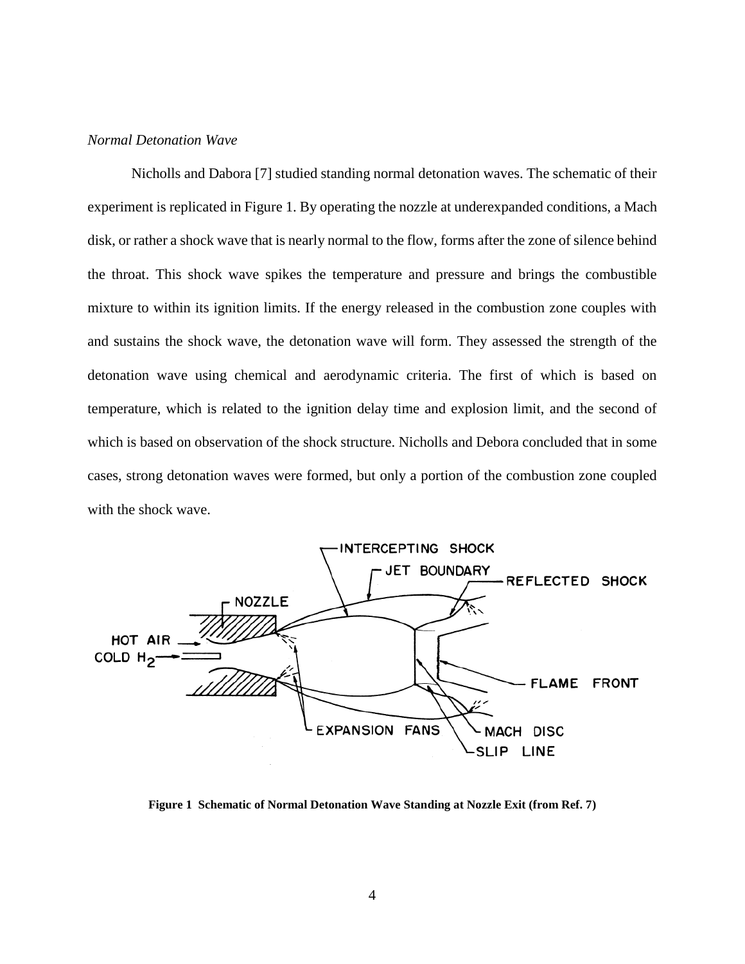#### <span id="page-11-0"></span>*Normal Detonation Wave*

Nicholls and Dabora [7] studied standing normal detonation waves. The schematic of their experiment is replicated in Figure 1. By operating the nozzle at underexpanded conditions, a Mach disk, or rather a shock wave that is nearly normal to the flow, forms after the zone of silence behind the throat. This shock wave spikes the temperature and pressure and brings the combustible mixture to within its ignition limits. If the energy released in the combustion zone couples with and sustains the shock wave, the detonation wave will form. They assessed the strength of the detonation wave using chemical and aerodynamic criteria. The first of which is based on temperature, which is related to the ignition delay time and explosion limit, and the second of which is based on observation of the shock structure. Nicholls and Debora concluded that in some cases, strong detonation waves were formed, but only a portion of the combustion zone coupled with the shock wave.



<span id="page-11-1"></span>**Figure 1 Schematic of Normal Detonation Wave Standing at Nozzle Exit (from Ref. 7)**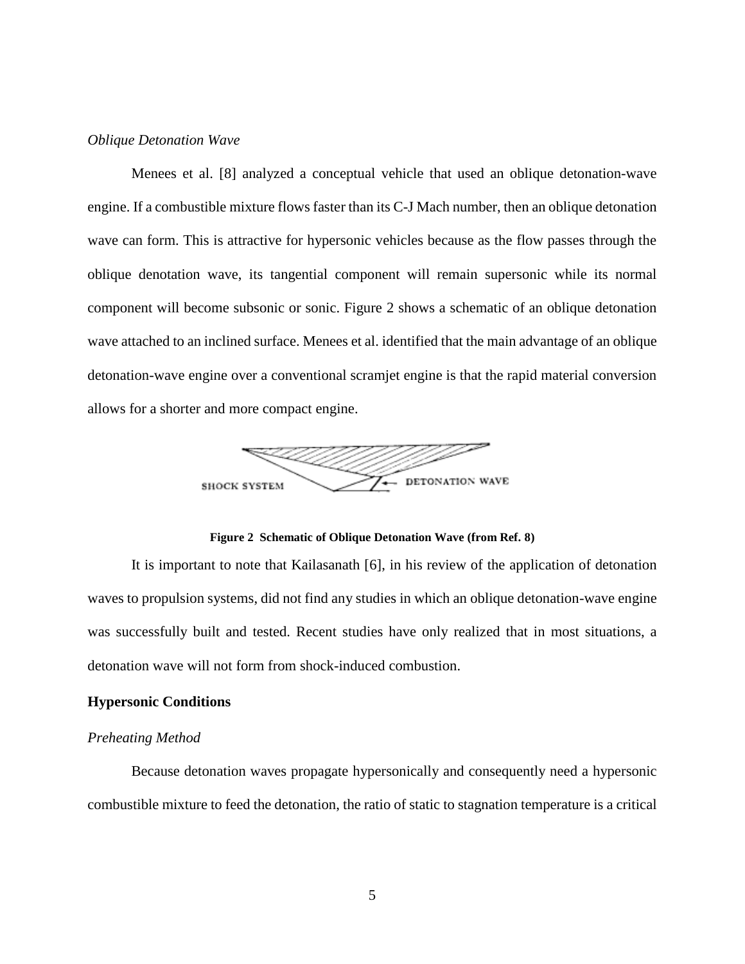#### <span id="page-12-0"></span>*Oblique Detonation Wave*

Menees et al. [8] analyzed a conceptual vehicle that used an oblique detonation-wave engine. If a combustible mixture flows faster than its C-J Mach number, then an oblique detonation wave can form. This is attractive for hypersonic vehicles because as the flow passes through the oblique denotation wave, its tangential component will remain supersonic while its normal component will become subsonic or sonic. Figure 2 shows a schematic of an oblique detonation wave attached to an inclined surface. Menees et al. identified that the main advantage of an oblique detonation-wave engine over a conventional scramjet engine is that the rapid material conversion allows for a shorter and more compact engine.



**Figure 2 Schematic of Oblique Detonation Wave (from Ref. 8)**

<span id="page-12-3"></span>It is important to note that Kailasanath [6], in his review of the application of detonation waves to propulsion systems, did not find any studies in which an oblique detonation-wave engine was successfully built and tested. Recent studies have only realized that in most situations, a detonation wave will not form from shock-induced combustion.

#### <span id="page-12-1"></span>**Hypersonic Conditions**

#### <span id="page-12-2"></span>*Preheating Method*

Because detonation waves propagate hypersonically and consequently need a hypersonic combustible mixture to feed the detonation, the ratio of static to stagnation temperature is a critical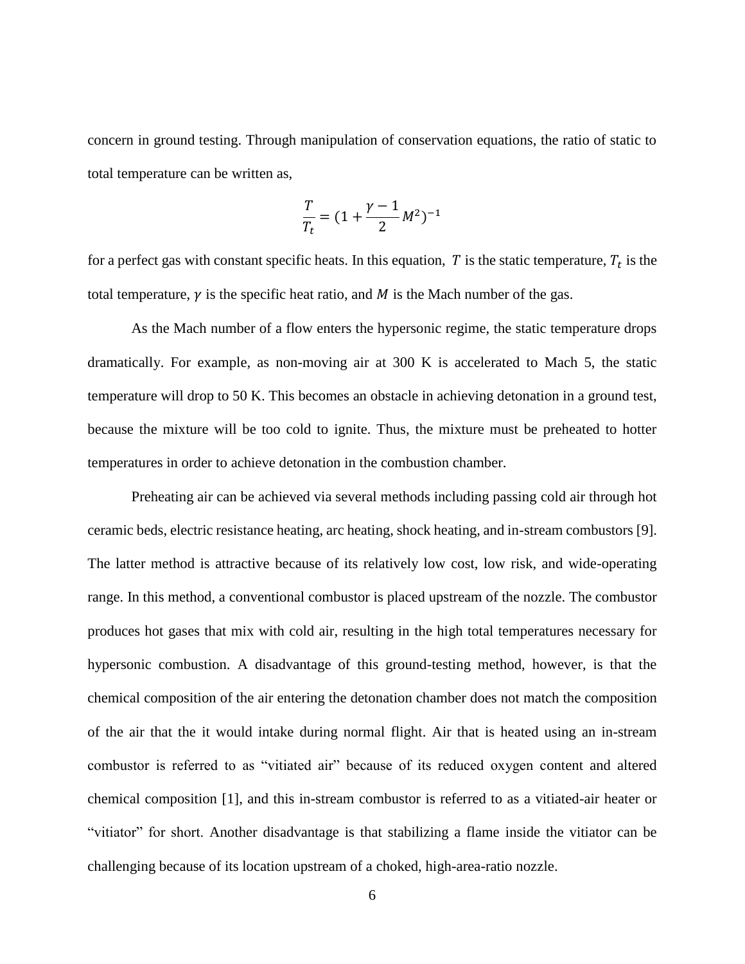concern in ground testing. Through manipulation of conservation equations, the ratio of static to total temperature can be written as,

$$
\frac{T}{T_t} = (1 + \frac{\gamma - 1}{2}M^2)^{-1}
$$

for a perfect gas with constant specific heats. In this equation, T is the static temperature,  $T_t$  is the total temperature,  $\gamma$  is the specific heat ratio, and  $M$  is the Mach number of the gas.

As the Mach number of a flow enters the hypersonic regime, the static temperature drops dramatically. For example, as non-moving air at 300 K is accelerated to Mach 5, the static temperature will drop to 50 K. This becomes an obstacle in achieving detonation in a ground test, because the mixture will be too cold to ignite. Thus, the mixture must be preheated to hotter temperatures in order to achieve detonation in the combustion chamber.

Preheating air can be achieved via several methods including passing cold air through hot ceramic beds, electric resistance heating, arc heating, shock heating, and in-stream combustors [9]. The latter method is attractive because of its relatively low cost, low risk, and wide-operating range. In this method, a conventional combustor is placed upstream of the nozzle. The combustor produces hot gases that mix with cold air, resulting in the high total temperatures necessary for hypersonic combustion. A disadvantage of this ground-testing method, however, is that the chemical composition of the air entering the detonation chamber does not match the composition of the air that the it would intake during normal flight. Air that is heated using an in-stream combustor is referred to as "vitiated air" because of its reduced oxygen content and altered chemical composition [1], and this in-stream combustor is referred to as a vitiated-air heater or "vitiator" for short. Another disadvantage is that stabilizing a flame inside the vitiator can be challenging because of its location upstream of a choked, high-area-ratio nozzle.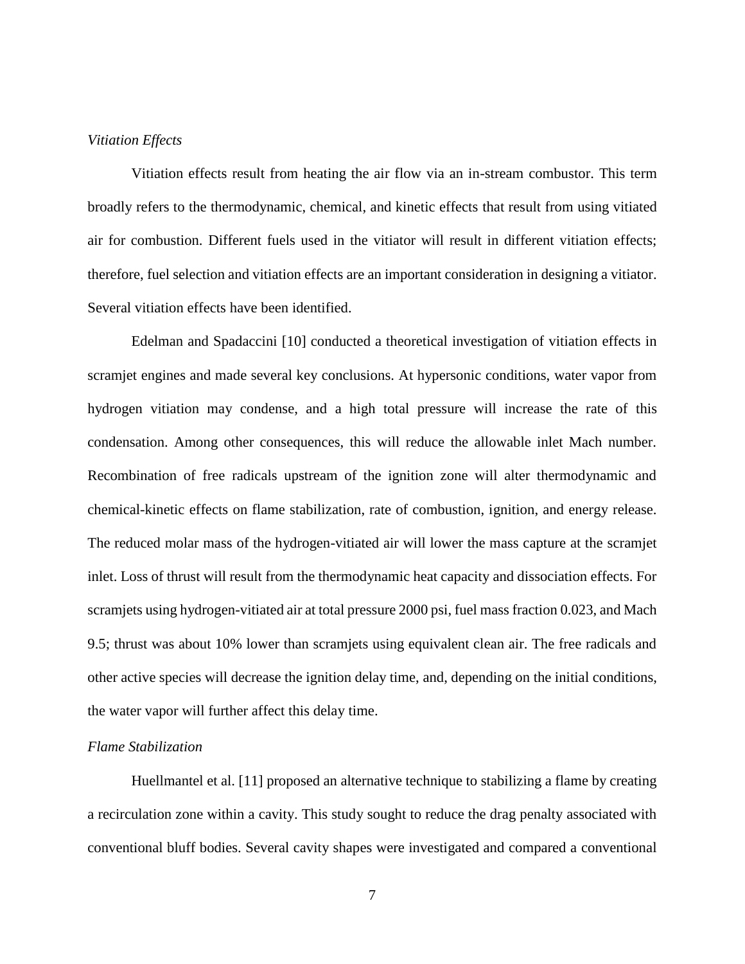#### <span id="page-14-0"></span>*Vitiation Effects*

Vitiation effects result from heating the air flow via an in-stream combustor. This term broadly refers to the thermodynamic, chemical, and kinetic effects that result from using vitiated air for combustion. Different fuels used in the vitiator will result in different vitiation effects; therefore, fuel selection and vitiation effects are an important consideration in designing a vitiator. Several vitiation effects have been identified.

Edelman and Spadaccini [10] conducted a theoretical investigation of vitiation effects in scramjet engines and made several key conclusions. At hypersonic conditions, water vapor from hydrogen vitiation may condense, and a high total pressure will increase the rate of this condensation. Among other consequences, this will reduce the allowable inlet Mach number. Recombination of free radicals upstream of the ignition zone will alter thermodynamic and chemical-kinetic effects on flame stabilization, rate of combustion, ignition, and energy release. The reduced molar mass of the hydrogen-vitiated air will lower the mass capture at the scramjet inlet. Loss of thrust will result from the thermodynamic heat capacity and dissociation effects. For scramjets using hydrogen-vitiated air at total pressure 2000 psi, fuel mass fraction 0.023, and Mach 9.5; thrust was about 10% lower than scramjets using equivalent clean air. The free radicals and other active species will decrease the ignition delay time, and, depending on the initial conditions, the water vapor will further affect this delay time.

#### <span id="page-14-1"></span>*Flame Stabilization*

Huellmantel et al. [11] proposed an alternative technique to stabilizing a flame by creating a recirculation zone within a cavity. This study sought to reduce the drag penalty associated with conventional bluff bodies. Several cavity shapes were investigated and compared a conventional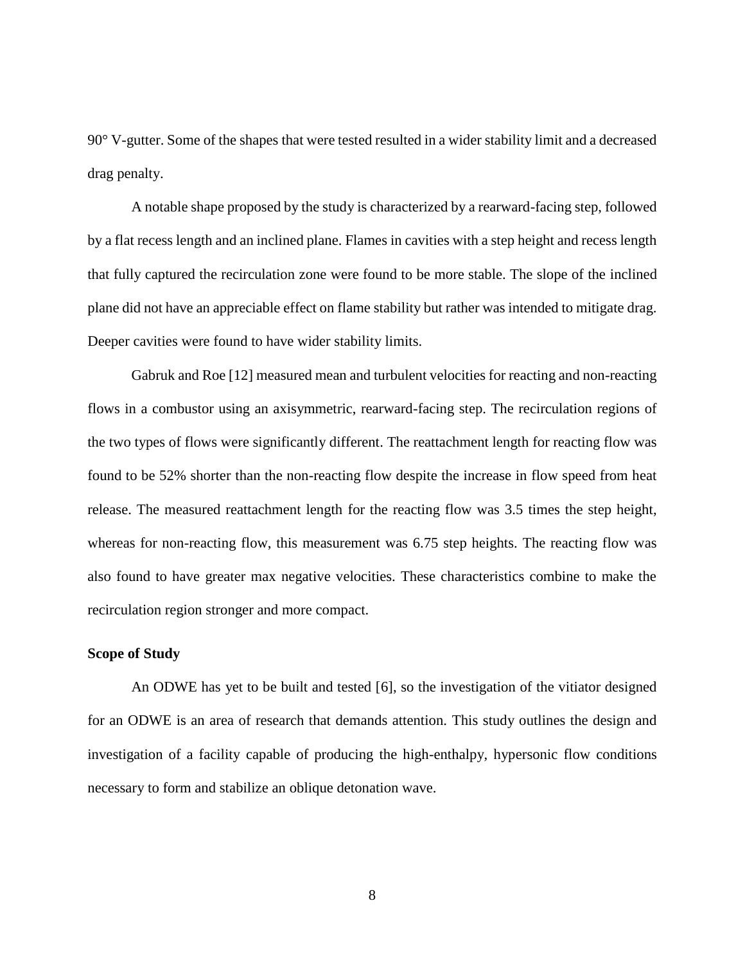90° V-gutter. Some of the shapes that were tested resulted in a wider stability limit and a decreased drag penalty.

A notable shape proposed by the study is characterized by a rearward-facing step, followed by a flat recess length and an inclined plane. Flames in cavities with a step height and recess length that fully captured the recirculation zone were found to be more stable. The slope of the inclined plane did not have an appreciable effect on flame stability but rather was intended to mitigate drag. Deeper cavities were found to have wider stability limits.

Gabruk and Roe [12] measured mean and turbulent velocities for reacting and non-reacting flows in a combustor using an axisymmetric, rearward-facing step. The recirculation regions of the two types of flows were significantly different. The reattachment length for reacting flow was found to be 52% shorter than the non-reacting flow despite the increase in flow speed from heat release. The measured reattachment length for the reacting flow was 3.5 times the step height, whereas for non-reacting flow, this measurement was 6.75 step heights. The reacting flow was also found to have greater max negative velocities. These characteristics combine to make the recirculation region stronger and more compact.

#### <span id="page-15-0"></span>**Scope of Study**

An ODWE has yet to be built and tested [6], so the investigation of the vitiator designed for an ODWE is an area of research that demands attention. This study outlines the design and investigation of a facility capable of producing the high-enthalpy, hypersonic flow conditions necessary to form and stabilize an oblique detonation wave.

8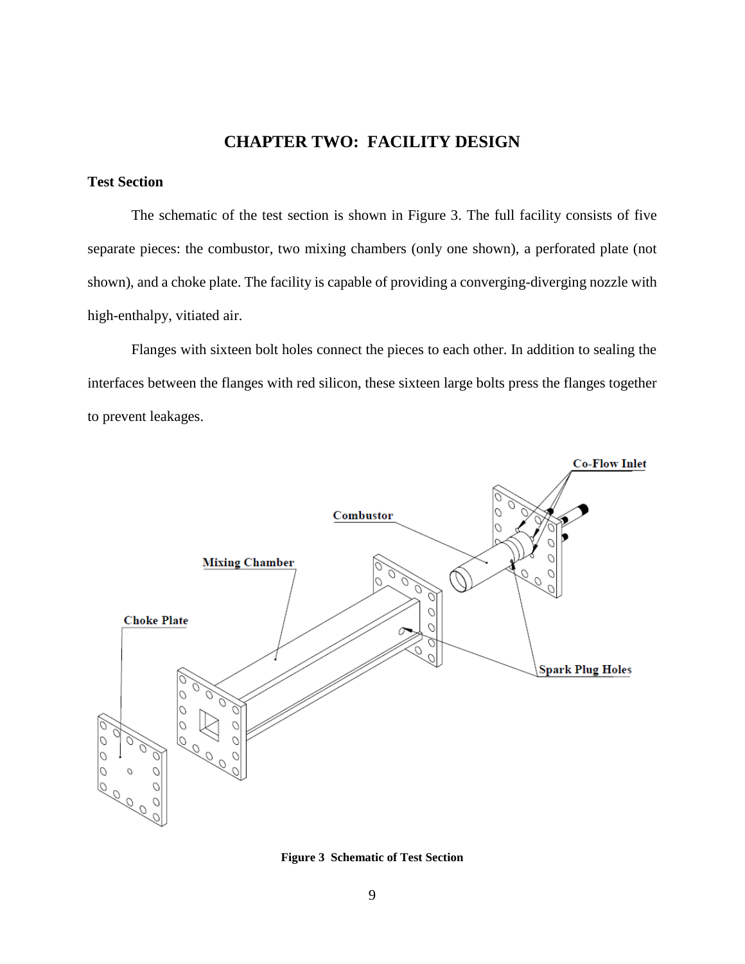## **CHAPTER TWO: FACILITY DESIGN**

### <span id="page-16-1"></span><span id="page-16-0"></span>**Test Section**

The schematic of the test section is shown in Figure 3. The full facility consists of five separate pieces: the combustor, two mixing chambers (only one shown), a perforated plate (not shown), and a choke plate. The facility is capable of providing a converging-diverging nozzle with high-enthalpy, vitiated air.

Flanges with sixteen bolt holes connect the pieces to each other. In addition to sealing the interfaces between the flanges with red silicon, these sixteen large bolts press the flanges together to prevent leakages.



**Figure 3 Schematic of Test Section**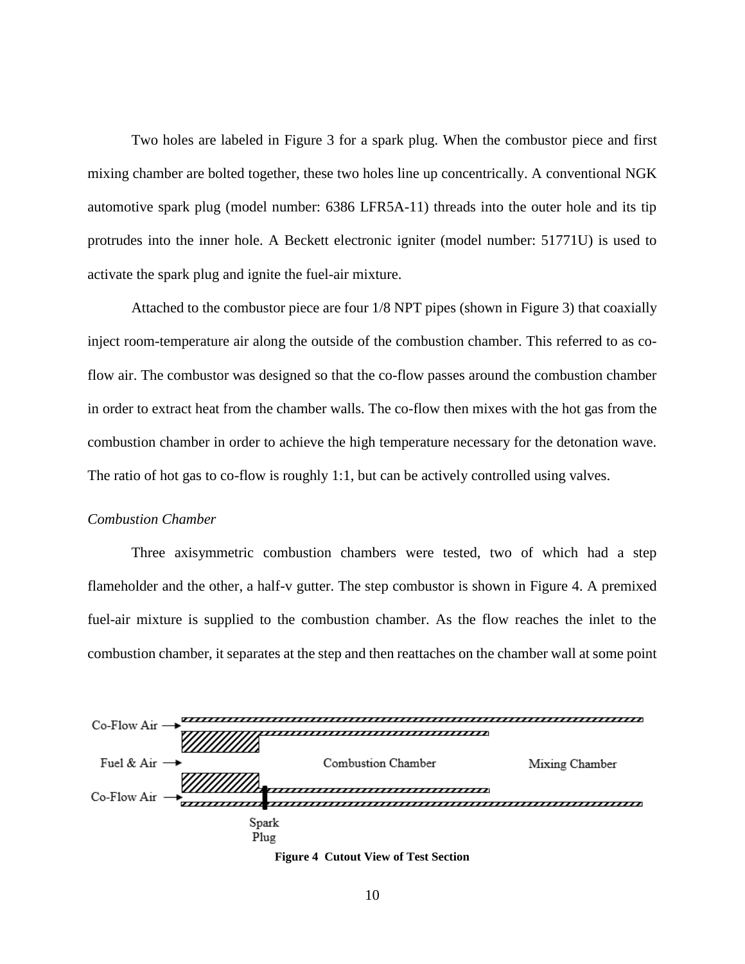Two holes are labeled in Figure 3 for a spark plug. When the combustor piece and first mixing chamber are bolted together, these two holes line up concentrically. A conventional NGK automotive spark plug (model number: 6386 LFR5A-11) threads into the outer hole and its tip protrudes into the inner hole. A Beckett electronic igniter (model number: 51771U) is used to activate the spark plug and ignite the fuel-air mixture.

Attached to the combustor piece are four 1/8 NPT pipes (shown in Figure 3) that coaxially inject room-temperature air along the outside of the combustion chamber. This referred to as coflow air. The combustor was designed so that the co-flow passes around the combustion chamber in order to extract heat from the chamber walls. The co-flow then mixes with the hot gas from the combustion chamber in order to achieve the high temperature necessary for the detonation wave. The ratio of hot gas to co-flow is roughly 1:1, but can be actively controlled using valves.

#### <span id="page-17-0"></span>*Combustion Chamber*

Three axisymmetric combustion chambers were tested, two of which had a step flameholder and the other, a half-v gutter. The step combustor is shown in Figure 4. A premixed fuel-air mixture is supplied to the combustion chamber. As the flow reaches the inlet to the combustion chamber, it separates at the step and then reattaches on the chamber wall at some point



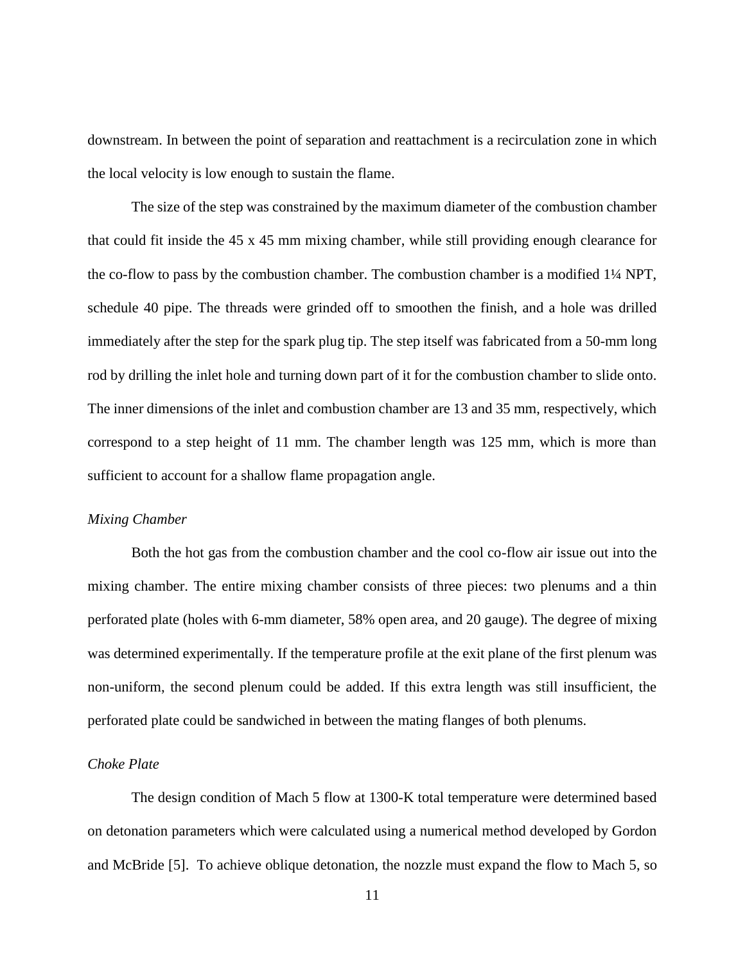downstream. In between the point of separation and reattachment is a recirculation zone in which the local velocity is low enough to sustain the flame.

The size of the step was constrained by the maximum diameter of the combustion chamber that could fit inside the 45 x 45 mm mixing chamber, while still providing enough clearance for the co-flow to pass by the combustion chamber. The combustion chamber is a modified 1¼ NPT, schedule 40 pipe. The threads were grinded off to smoothen the finish, and a hole was drilled immediately after the step for the spark plug tip. The step itself was fabricated from a 50-mm long rod by drilling the inlet hole and turning down part of it for the combustion chamber to slide onto. The inner dimensions of the inlet and combustion chamber are 13 and 35 mm, respectively, which correspond to a step height of 11 mm. The chamber length was 125 mm, which is more than sufficient to account for a shallow flame propagation angle.

#### <span id="page-18-0"></span>*Mixing Chamber*

Both the hot gas from the combustion chamber and the cool co-flow air issue out into the mixing chamber. The entire mixing chamber consists of three pieces: two plenums and a thin perforated plate (holes with 6-mm diameter, 58% open area, and 20 gauge). The degree of mixing was determined experimentally. If the temperature profile at the exit plane of the first plenum was non-uniform, the second plenum could be added. If this extra length was still insufficient, the perforated plate could be sandwiched in between the mating flanges of both plenums.

#### <span id="page-18-1"></span>*Choke Plate*

The design condition of Mach 5 flow at 1300-K total temperature were determined based on detonation parameters which were calculated using a numerical method developed by Gordon and McBride [5]. To achieve oblique detonation, the nozzle must expand the flow to Mach 5, so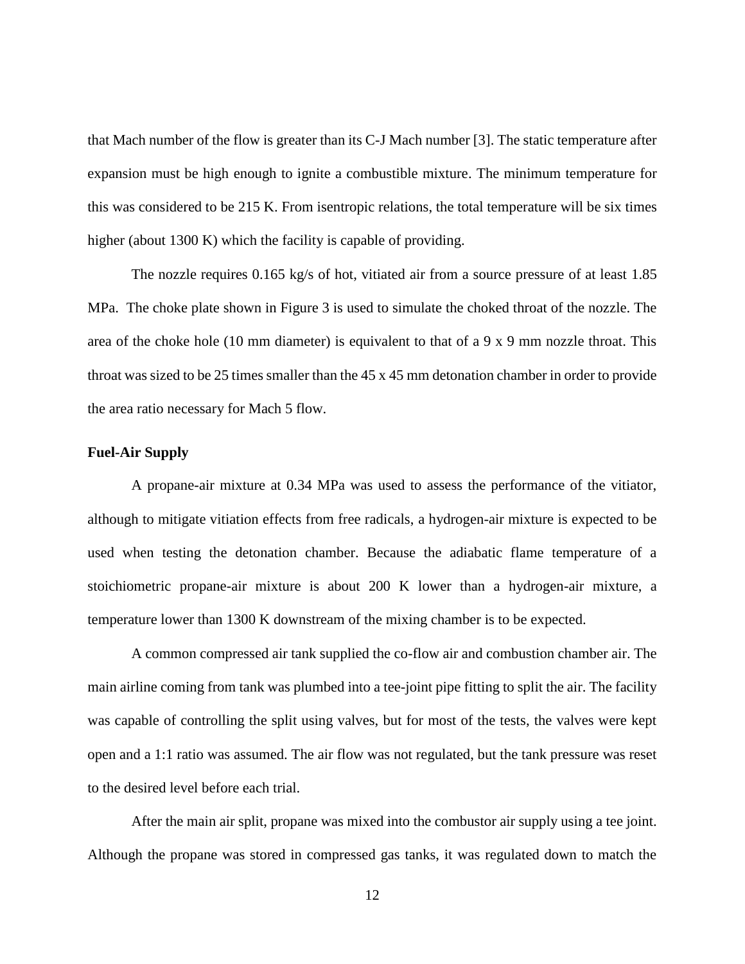that Mach number of the flow is greater than its C-J Mach number [3]. The static temperature after expansion must be high enough to ignite a combustible mixture. The minimum temperature for this was considered to be 215 K. From isentropic relations, the total temperature will be six times higher (about 1300 K) which the facility is capable of providing.

The nozzle requires  $0.165 \text{ kg/s}$  of hot, vitiated air from a source pressure of at least 1.85 MPa. The choke plate shown in Figure 3 is used to simulate the choked throat of the nozzle. The area of the choke hole (10 mm diameter) is equivalent to that of a 9 x 9 mm nozzle throat. This throat was sized to be 25 times smaller than the 45 x 45 mm detonation chamber in order to provide the area ratio necessary for Mach 5 flow.

#### <span id="page-19-0"></span>**Fuel-Air Supply**

A propane-air mixture at 0.34 MPa was used to assess the performance of the vitiator, although to mitigate vitiation effects from free radicals, a hydrogen-air mixture is expected to be used when testing the detonation chamber. Because the adiabatic flame temperature of a stoichiometric propane-air mixture is about 200 K lower than a hydrogen-air mixture, a temperature lower than 1300 K downstream of the mixing chamber is to be expected.

A common compressed air tank supplied the co-flow air and combustion chamber air. The main airline coming from tank was plumbed into a tee-joint pipe fitting to split the air. The facility was capable of controlling the split using valves, but for most of the tests, the valves were kept open and a 1:1 ratio was assumed. The air flow was not regulated, but the tank pressure was reset to the desired level before each trial.

After the main air split, propane was mixed into the combustor air supply using a tee joint. Although the propane was stored in compressed gas tanks, it was regulated down to match the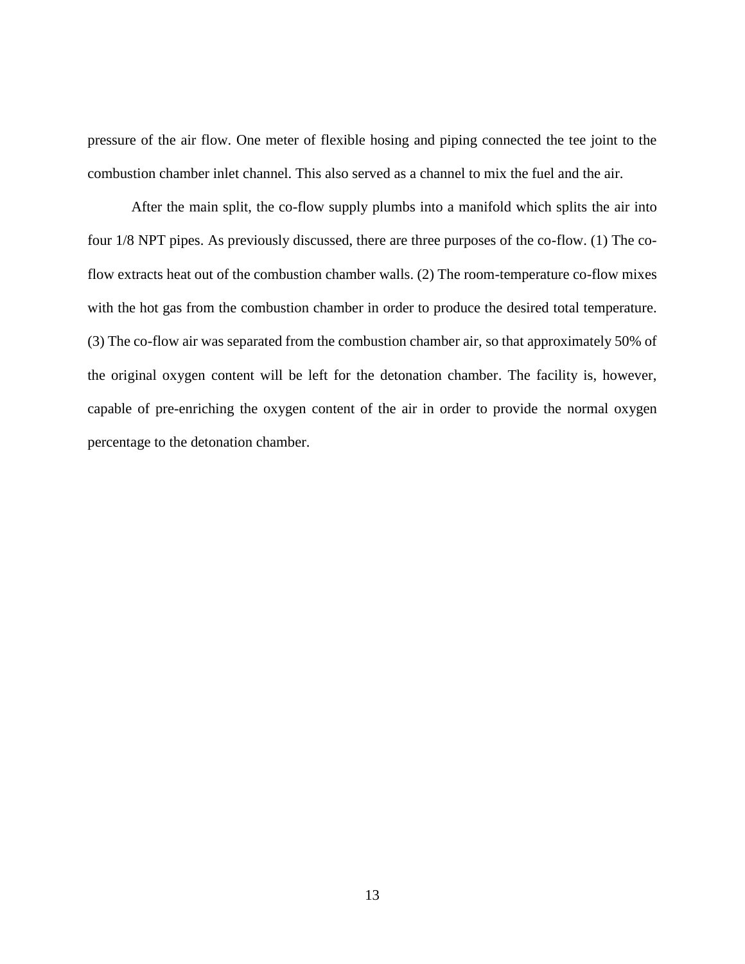pressure of the air flow. One meter of flexible hosing and piping connected the tee joint to the combustion chamber inlet channel. This also served as a channel to mix the fuel and the air.

After the main split, the co-flow supply plumbs into a manifold which splits the air into four 1/8 NPT pipes. As previously discussed, there are three purposes of the co-flow. (1) The coflow extracts heat out of the combustion chamber walls. (2) The room-temperature co-flow mixes with the hot gas from the combustion chamber in order to produce the desired total temperature. (3) The co-flow air was separated from the combustion chamber air, so that approximately 50% of the original oxygen content will be left for the detonation chamber. The facility is, however, capable of pre-enriching the oxygen content of the air in order to provide the normal oxygen percentage to the detonation chamber.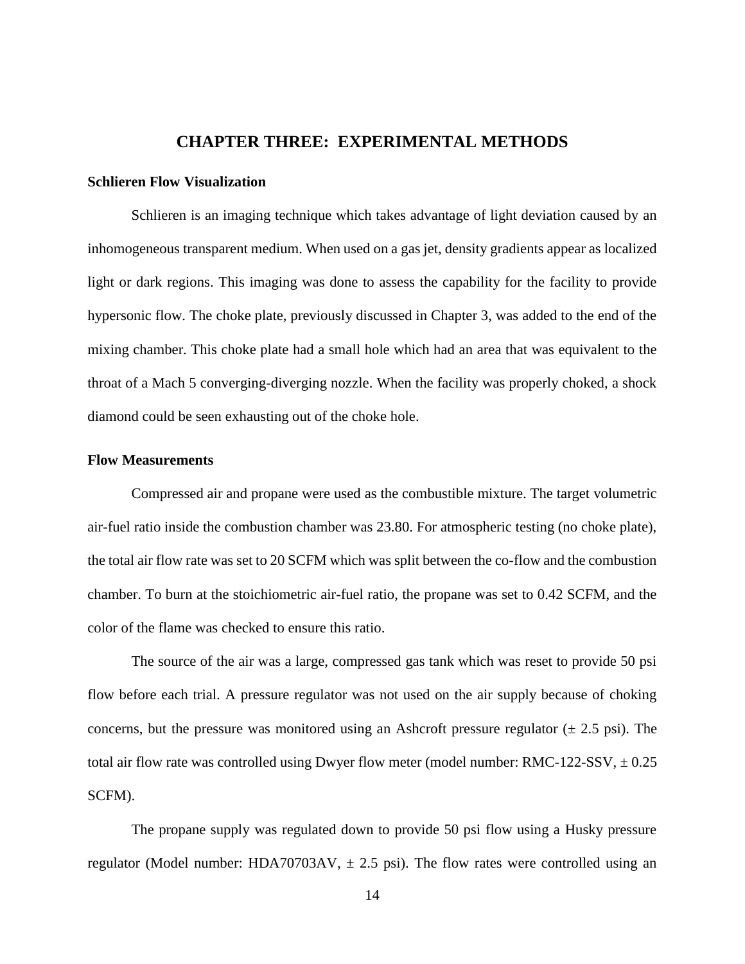## **CHAPTER THREE: EXPERIMENTAL METHODS**

#### <span id="page-21-1"></span><span id="page-21-0"></span>**Schlieren Flow Visualization**

Schlieren is an imaging technique which takes advantage of light deviation caused by an inhomogeneous transparent medium. When used on a gas jet, density gradients appear as localized light or dark regions. This imaging was done to assess the capability for the facility to provide hypersonic flow. The choke plate, previously discussed in Chapter 3, was added to the end of the mixing chamber. This choke plate had a small hole which had an area that was equivalent to the throat of a Mach 5 converging-diverging nozzle. When the facility was properly choked, a shock diamond could be seen exhausting out of the choke hole.

#### <span id="page-21-2"></span>**Flow Measurements**

Compressed air and propane were used as the combustible mixture. The target volumetric air-fuel ratio inside the combustion chamber was 23.80. For atmospheric testing (no choke plate), the total air flow rate was set to 20 SCFM which was split between the co-flow and the combustion chamber. To burn at the stoichiometric air-fuel ratio, the propane was set to 0.42 SCFM, and the color of the flame was checked to ensure this ratio.

The source of the air was a large, compressed gas tank which was reset to provide 50 psi flow before each trial. A pressure regulator was not used on the air supply because of choking concerns, but the pressure was monitored using an Ashcroft pressure regulator  $(\pm 2.5 \text{ psi})$ . The total air flow rate was controlled using Dwyer flow meter (model number: RMC-122-SSV,  $\pm$  0.25 SCFM).

The propane supply was regulated down to provide 50 psi flow using a Husky pressure regulator (Model number: HDA70703AV,  $\pm$  2.5 psi). The flow rates were controlled using an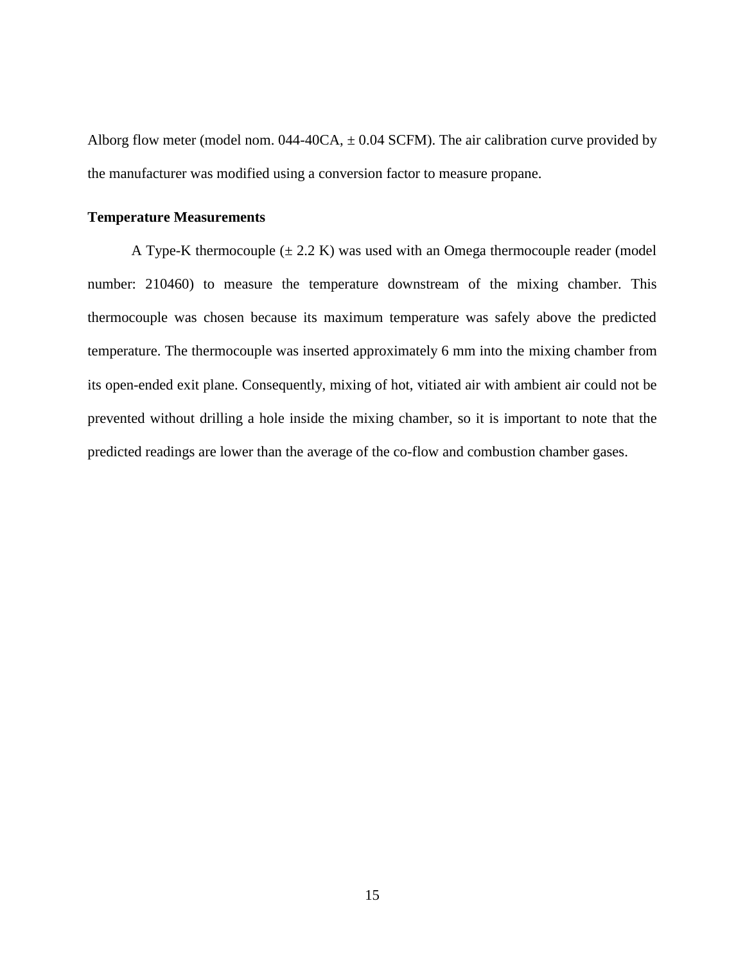Alborg flow meter (model nom.  $044-40CA$ ,  $\pm 0.04$  SCFM). The air calibration curve provided by the manufacturer was modified using a conversion factor to measure propane.

#### <span id="page-22-0"></span>**Temperature Measurements**

A Type-K thermocouple  $(\pm 2.2 \text{ K})$  was used with an Omega thermocouple reader (model number: 210460) to measure the temperature downstream of the mixing chamber. This thermocouple was chosen because its maximum temperature was safely above the predicted temperature. The thermocouple was inserted approximately 6 mm into the mixing chamber from its open-ended exit plane. Consequently, mixing of hot, vitiated air with ambient air could not be prevented without drilling a hole inside the mixing chamber, so it is important to note that the predicted readings are lower than the average of the co-flow and combustion chamber gases.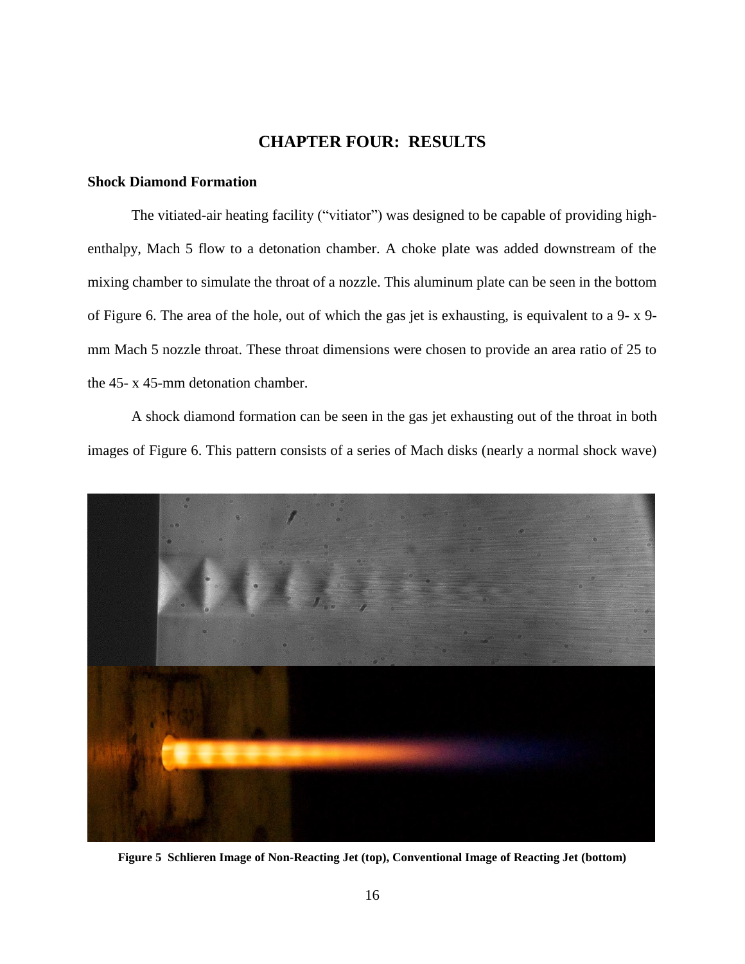## **CHAPTER FOUR: RESULTS**

#### <span id="page-23-1"></span><span id="page-23-0"></span>**Shock Diamond Formation**

The vitiated-air heating facility ("vitiator") was designed to be capable of providing highenthalpy, Mach 5 flow to a detonation chamber. A choke plate was added downstream of the mixing chamber to simulate the throat of a nozzle. This aluminum plate can be seen in the bottom of Figure 6. The area of the hole, out of which the gas jet is exhausting, is equivalent to a 9- x 9 mm Mach 5 nozzle throat. These throat dimensions were chosen to provide an area ratio of 25 to the 45- x 45-mm detonation chamber.

A shock diamond formation can be seen in the gas jet exhausting out of the throat in both images of Figure 6. This pattern consists of a series of Mach disks (nearly a normal shock wave)



**Figure 5 Schlieren Image of Non-Reacting Jet (top), Conventional Image of Reacting Jet (bottom)**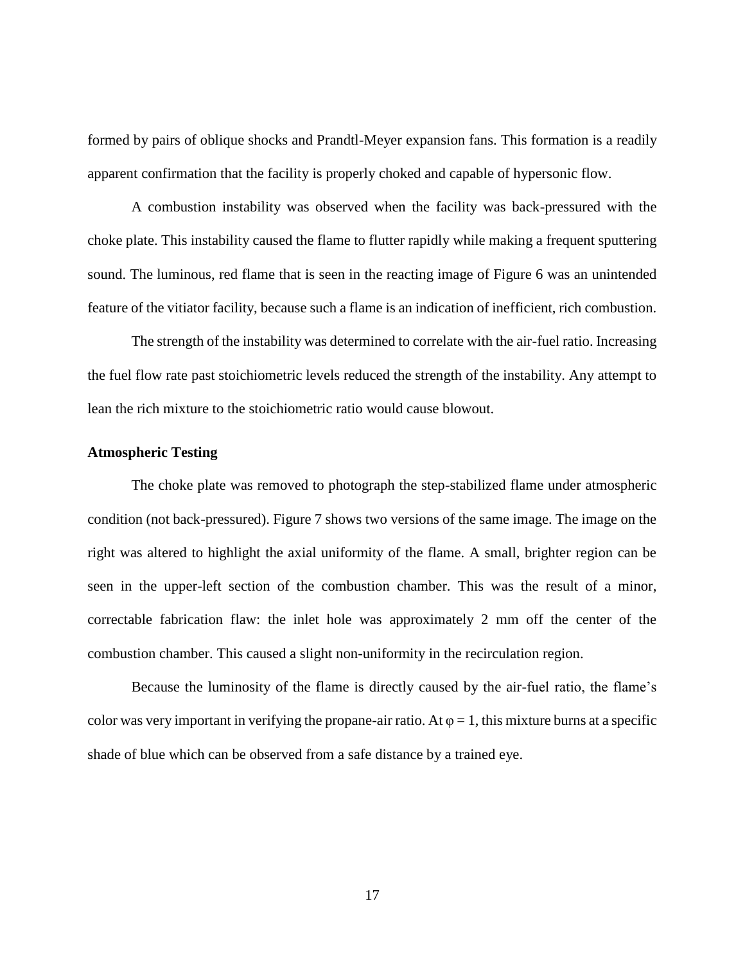formed by pairs of oblique shocks and Prandtl-Meyer expansion fans. This formation is a readily apparent confirmation that the facility is properly choked and capable of hypersonic flow.

A combustion instability was observed when the facility was back-pressured with the choke plate. This instability caused the flame to flutter rapidly while making a frequent sputtering sound. The luminous, red flame that is seen in the reacting image of Figure 6 was an unintended feature of the vitiator facility, because such a flame is an indication of inefficient, rich combustion.

The strength of the instability was determined to correlate with the air-fuel ratio. Increasing the fuel flow rate past stoichiometric levels reduced the strength of the instability. Any attempt to lean the rich mixture to the stoichiometric ratio would cause blowout.

#### <span id="page-24-0"></span>**Atmospheric Testing**

The choke plate was removed to photograph the step-stabilized flame under atmospheric condition (not back-pressured). Figure 7 shows two versions of the same image. The image on the right was altered to highlight the axial uniformity of the flame. A small, brighter region can be seen in the upper-left section of the combustion chamber. This was the result of a minor, correctable fabrication flaw: the inlet hole was approximately 2 mm off the center of the combustion chamber. This caused a slight non-uniformity in the recirculation region.

Because the luminosity of the flame is directly caused by the air-fuel ratio, the flame's color was very important in verifying the propane-air ratio. At  $\varphi = 1$ , this mixture burns at a specific shade of blue which can be observed from a safe distance by a trained eye.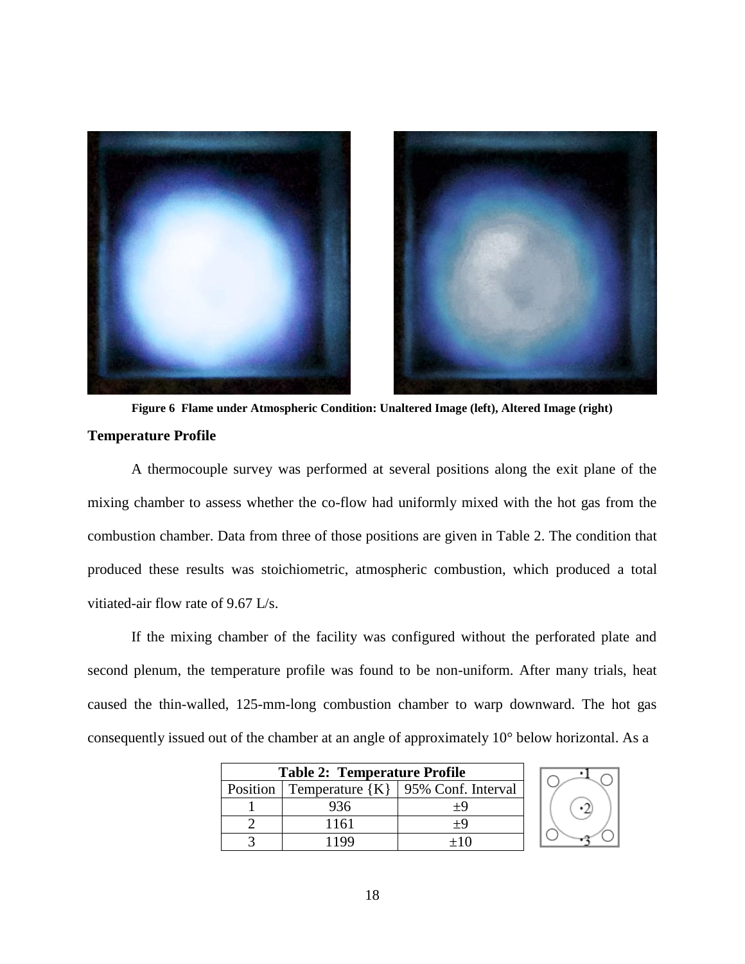

**Temperature Profile Figure 6 Flame under Atmospheric Condition: Unaltered Image (left), Altered Image (right)**

A thermocouple survey was performed at several positions along the exit plane of the mixing chamber to assess whether the co-flow had uniformly mixed with the hot gas from the combustion chamber. Data from three of those positions are given in Table 2. The condition that produced these results was stoichiometric, atmospheric combustion, which produced a total vitiated-air flow rate of 9.67 L/s.

If the mixing chamber of the facility was configured without the perforated plate and second plenum, the temperature profile was found to be non-uniform. After many trials, heat caused the thin-walled, 125-mm-long combustion chamber to warp downward. The hot gas consequently issued out of the chamber at an angle of approximately 10° below horizontal. As a

| <b>Table 2: Temperature Profile</b> |      |                                                   |  |  |  |
|-------------------------------------|------|---------------------------------------------------|--|--|--|
|                                     |      | Position   Temperature ${K}$   95% Conf. Interval |  |  |  |
|                                     | 936  | $+9$                                              |  |  |  |
|                                     | 1161 | $+9$                                              |  |  |  |
|                                     |      | $+10$                                             |  |  |  |

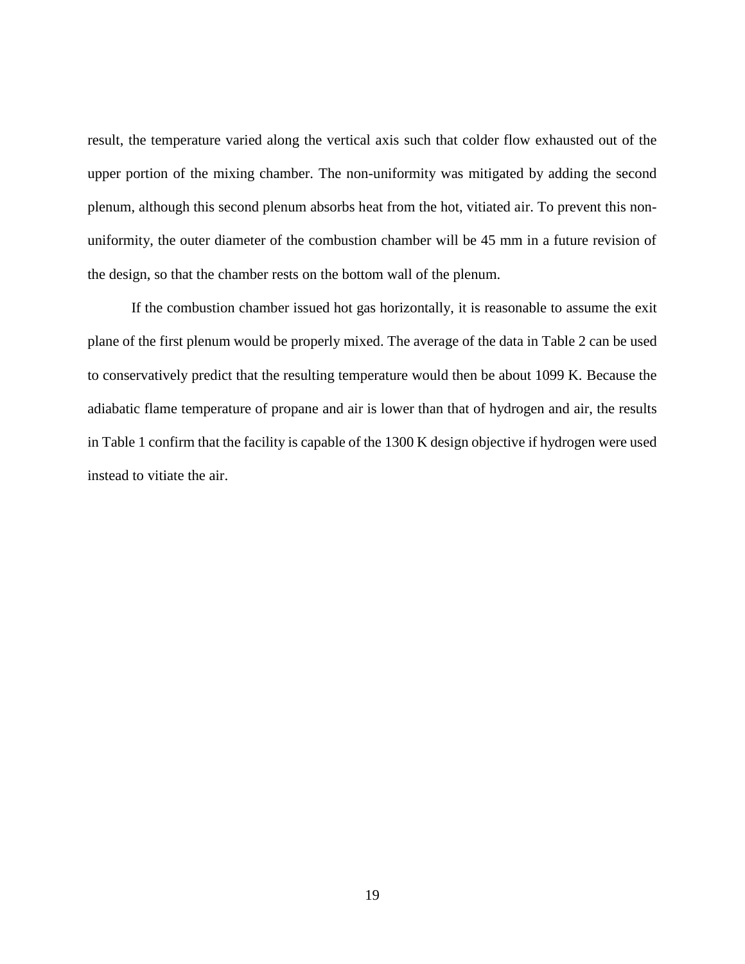result, the temperature varied along the vertical axis such that colder flow exhausted out of the upper portion of the mixing chamber. The non-uniformity was mitigated by adding the second plenum, although this second plenum absorbs heat from the hot, vitiated air. To prevent this nonuniformity, the outer diameter of the combustion chamber will be 45 mm in a future revision of the design, so that the chamber rests on the bottom wall of the plenum.

If the combustion chamber issued hot gas horizontally, it is reasonable to assume the exit plane of the first plenum would be properly mixed. The average of the data in Table 2 can be used to conservatively predict that the resulting temperature would then be about 1099 K. Because the adiabatic flame temperature of propane and air is lower than that of hydrogen and air, the results in Table 1 confirm that the facility is capable of the 1300 K design objective if hydrogen were used instead to vitiate the air.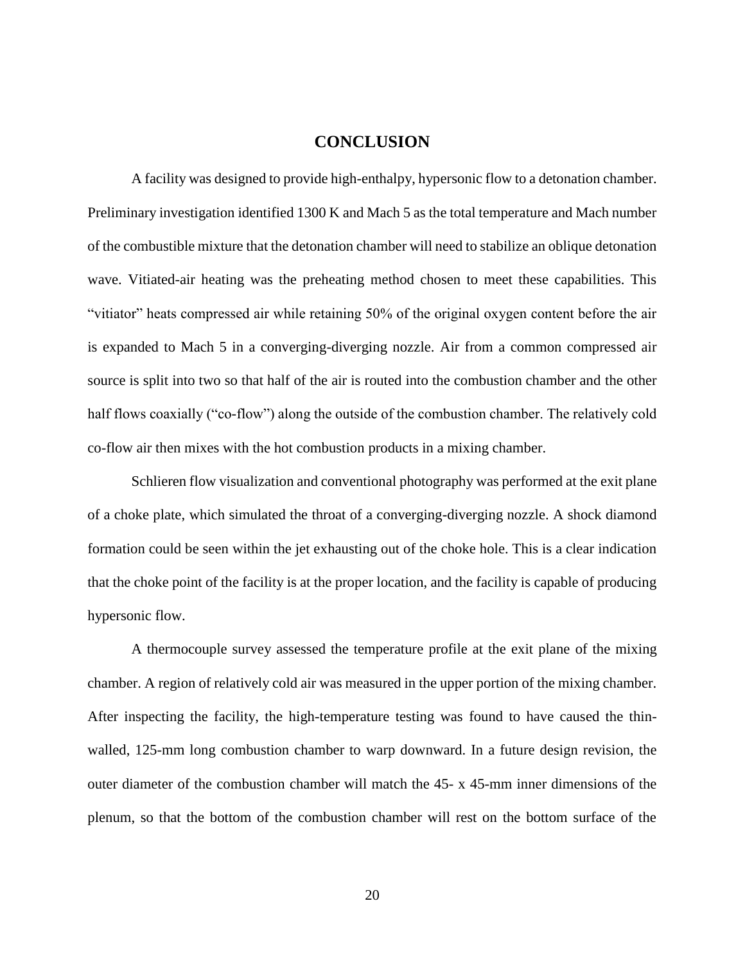## **CONCLUSION**

<span id="page-27-0"></span>A facility was designed to provide high-enthalpy, hypersonic flow to a detonation chamber. Preliminary investigation identified 1300 K and Mach 5 as the total temperature and Mach number of the combustible mixture that the detonation chamber will need to stabilize an oblique detonation wave. Vitiated-air heating was the preheating method chosen to meet these capabilities. This "vitiator" heats compressed air while retaining 50% of the original oxygen content before the air is expanded to Mach 5 in a converging-diverging nozzle. Air from a common compressed air source is split into two so that half of the air is routed into the combustion chamber and the other half flows coaxially ("co-flow") along the outside of the combustion chamber. The relatively cold co-flow air then mixes with the hot combustion products in a mixing chamber.

Schlieren flow visualization and conventional photography was performed at the exit plane of a choke plate, which simulated the throat of a converging-diverging nozzle. A shock diamond formation could be seen within the jet exhausting out of the choke hole. This is a clear indication that the choke point of the facility is at the proper location, and the facility is capable of producing hypersonic flow.

A thermocouple survey assessed the temperature profile at the exit plane of the mixing chamber. A region of relatively cold air was measured in the upper portion of the mixing chamber. After inspecting the facility, the high-temperature testing was found to have caused the thinwalled, 125-mm long combustion chamber to warp downward. In a future design revision, the outer diameter of the combustion chamber will match the 45- x 45-mm inner dimensions of the plenum, so that the bottom of the combustion chamber will rest on the bottom surface of the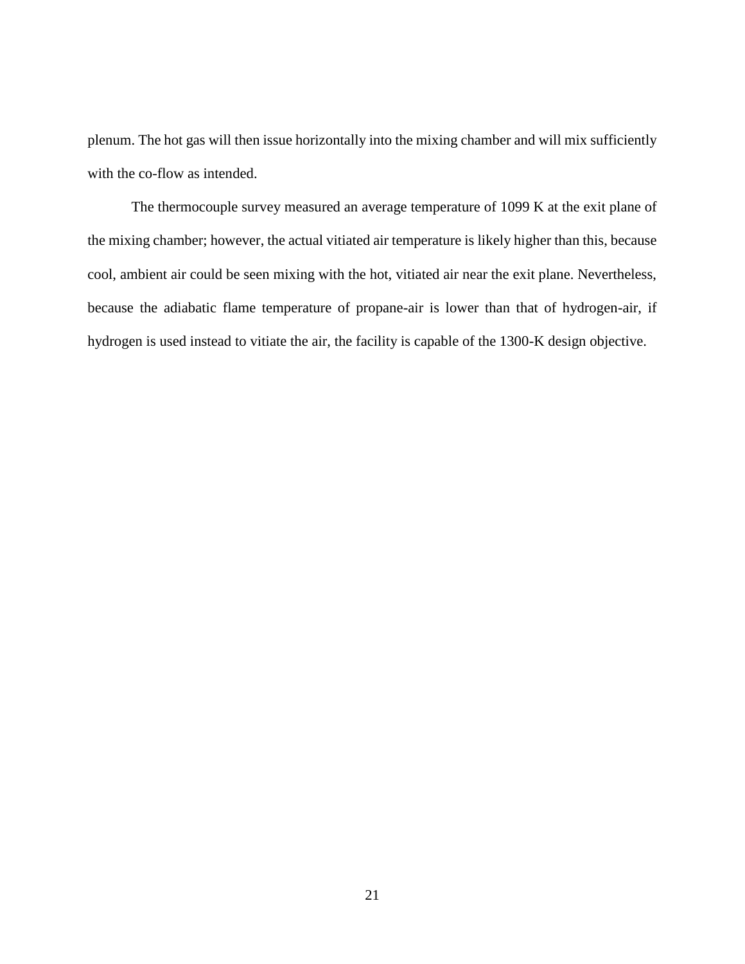plenum. The hot gas will then issue horizontally into the mixing chamber and will mix sufficiently with the co-flow as intended.

The thermocouple survey measured an average temperature of 1099 K at the exit plane of the mixing chamber; however, the actual vitiated air temperature is likely higher than this, because cool, ambient air could be seen mixing with the hot, vitiated air near the exit plane. Nevertheless, because the adiabatic flame temperature of propane-air is lower than that of hydrogen-air, if hydrogen is used instead to vitiate the air, the facility is capable of the 1300-K design objective.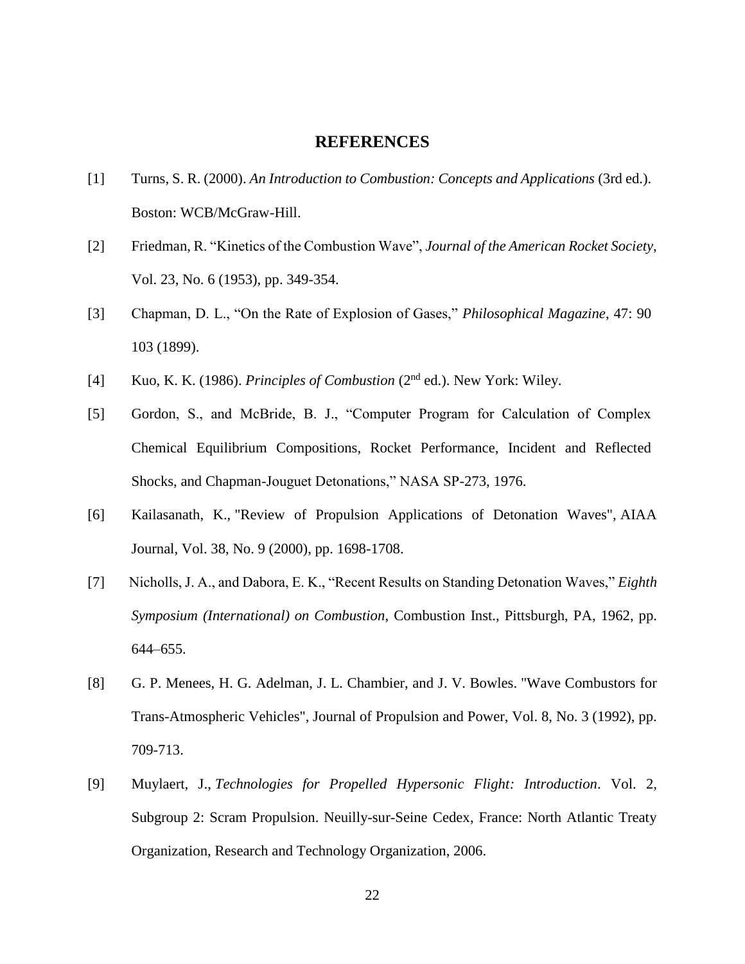#### **REFERENCES**

- <span id="page-29-0"></span>[1] Turns, S. R. (2000). *An Introduction to Combustion: Concepts and Applications* (3rd ed.). Boston: WCB/McGraw-Hill.
- [2] Friedman, R. "Kinetics of the Combustion Wave", *Journal of the American Rocket Society*, Vol. 23, No. 6 (1953), pp. 349-354.
- [3] Chapman, D. L., "On the Rate of Explosion of Gases," *Philosophical Magazine*, 47: 90 103 (1899).
- [4] Kuo, K. K. (1986). *Principles of Combustion* (2nd ed.). New York: Wiley.
- [5] Gordon, S., and McBride, B. J., "Computer Program for Calculation of Complex Chemical Equilibrium Compositions, Rocket Performance, Incident and Reflected Shocks, and Chapman-Jouguet Detonations," NASA SP-273, 1976.
- [6] Kailasanath, K., "Review of Propulsion Applications of Detonation Waves", AIAA Journal, Vol. 38, No. 9 (2000), pp. 1698-1708.
- [7] Nicholls, J. A., and Dabora, E. K., "Recent Results on Standing Detonation Waves," *Eighth Symposium (International) on Combustion*, Combustion Inst., Pittsburgh, PA, 1962, pp. 644–655.
- [8] G. P. Menees, H. G. Adelman, J. L. Chambier, and J. V. Bowles. "Wave Combustors for Trans-Atmospheric Vehicles", Journal of Propulsion and Power, Vol. 8, No. 3 (1992), pp. 709-713.
- [9] Muylaert, J., *Technologies for Propelled Hypersonic Flight: Introduction*. Vol. 2, Subgroup 2: Scram Propulsion. Neuilly-sur-Seine Cedex, France: North Atlantic Treaty Organization, Research and Technology Organization, 2006.